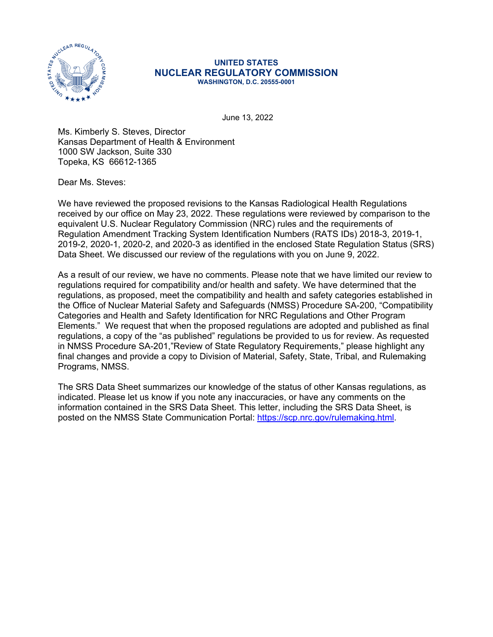

## **UNITED STATES NUCLEAR REGULATORY COMMISSION WASHINGTON, D.C. 20555-0001**

June 13, 2022

Ms. Kimberly S. Steves, Director Kansas Department of Health & Environment 1000 SW Jackson, Suite 330 Topeka, KS 66612-1365

Dear Ms. Steves:

We have reviewed the proposed revisions to the Kansas Radiological Health Regulations received by our office on May 23, 2022. These regulations were reviewed by comparison to the equivalent U.S. Nuclear Regulatory Commission (NRC) rules and the requirements of Regulation Amendment Tracking System Identification Numbers (RATS IDs) 2018-3, 2019-1, 2019-2, 2020-1, 2020-2, and 2020-3 as identified in the enclosed State Regulation Status (SRS) Data Sheet. We discussed our review of the regulations with you on June 9, 2022.

As a result of our review, we have no comments. Please note that we have limited our review to regulations required for compatibility and/or health and safety. We have determined that the regulations, as proposed, meet the compatibility and health and safety categories established in the Office of Nuclear Material Safety and Safeguards (NMSS) Procedure SA-200, "Compatibility Categories and Health and Safety Identification for NRC Regulations and Other Program Elements." We request that when the proposed regulations are adopted and published as final regulations, a copy of the "as published" regulations be provided to us for review. As requested in NMSS Procedure SA-201,"Review of State Regulatory Requirements," please highlight any final changes and provide a copy to Division of Material, Safety, State, Tribal, and Rulemaking Programs, NMSS.

The SRS Data Sheet summarizes our knowledge of the status of other Kansas regulations, as indicated. Please let us know if you note any inaccuracies, or have any comments on the information contained in the SRS Data Sheet. This letter, including the SRS Data Sheet, is posted on the NMSS State Communication Portal: [https://scp.nrc.gov/rulemaking.html.](https://scp.nrc.gov/rulemaking.html)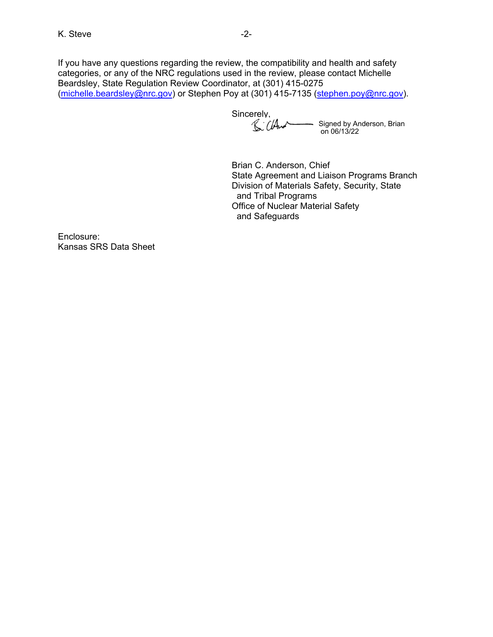If you have any questions regarding the review, the compatibility and health and safety categories, or any of the NRC regulations used in the review, please contact Michelle Beardsley, State Regulation Review Coordinator, at (301) 415-0275 ([michelle.beardsley@nrc.gov\)](mailto:michelle.beardsley@nrc.gov) or Stephen Poy at (301) 415-7135 (stephen.poy@nrc.gov).

Sincerely, Signed by Anderson, Brian on 06/13/22

Brian C. Anderson, Chief State Agreement and Liaison Programs Branch Division of Materials Safety, Security, State and Tribal Programs Office of Nuclear Material Safety and Safeguards

Enclosure: Kansas SRS Data Sheet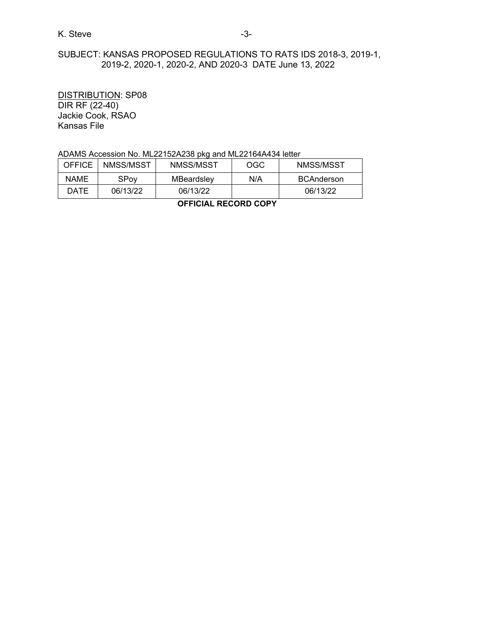## K. Steve -3-

# SUBJECT: KANSAS PROPOSED REGULATIONS TO RATS IDS 2018-3, 2019-1, 2019-2, 2020-1, 2020-2, AND 2020-3 DATE June 13, 2022

DISTRIBUTION: SP08 DIR RF (22-40) Jackie Cook, RSAO Kansas File

### ADAMS Accession No. ML22152A238 pkg and ML22164A434 letter

| <b>OFFICE</b> | NMSS/MSST | NMSS/MSST  | OGC | NMSS/MSST         |
|---------------|-----------|------------|-----|-------------------|
| <b>NAME</b>   | SPov      | MBeardslev | N/A | <b>BCAnderson</b> |
| DATE          | 06/13/22  | 06/13/22   |     | 06/13/22          |

**OFFICIAL RECORD COPY**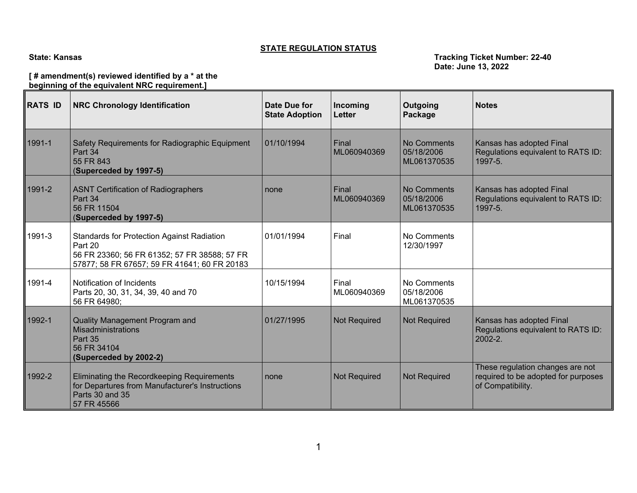## **STATE REGULATION STATUS**

#### **State: Kansas Tracking Ticket Number: 22-40 Date: June 13, 2022**

## **[ # amendment(s) reviewed identified by a \* at the beginning of the equivalent NRC requirement.]**

| <b>RATS ID</b> | <b>NRC Chronology Identification</b>                                                                                                                         | Date Due for<br><b>State Adoption</b> | Incoming<br>Letter   | Outgoing<br>Package                      | <b>Notes</b>                                                                                 |
|----------------|--------------------------------------------------------------------------------------------------------------------------------------------------------------|---------------------------------------|----------------------|------------------------------------------|----------------------------------------------------------------------------------------------|
| 1991-1         | Safety Requirements for Radiographic Equipment<br>Part 34<br>55 FR 843<br>(Superceded by 1997-5)                                                             | 01/10/1994                            | Final<br>ML060940369 | No Comments<br>05/18/2006<br>ML061370535 | Kansas has adopted Final<br>Regulations equivalent to RATS ID:<br>1997-5.                    |
| 1991-2         | <b>ASNT Certification of Radiographers</b><br>Part 34<br>56 FR 11504<br>(Superceded by 1997-5)                                                               | none                                  | Final<br>ML060940369 | No Comments<br>05/18/2006<br>ML061370535 | Kansas has adopted Final<br>Regulations equivalent to RATS ID:<br>1997-5.                    |
| 1991-3         | <b>Standards for Protection Against Radiation</b><br>Part 20<br>56 FR 23360; 56 FR 61352; 57 FR 38588; 57 FR<br>57877; 58 FR 67657; 59 FR 41641; 60 FR 20183 | 01/01/1994                            | Final                | No Comments<br>12/30/1997                |                                                                                              |
| 1991-4         | Notification of Incidents<br>Parts 20, 30, 31, 34, 39, 40 and 70<br>56 FR 64980;                                                                             | 10/15/1994                            | Final<br>ML060940369 | No Comments<br>05/18/2006<br>ML061370535 |                                                                                              |
| 1992-1         | <b>Quality Management Program and</b><br>Misadministrations<br>Part 35<br>56 FR 34104<br>(Superceded by 2002-2)                                              | 01/27/1995                            | <b>Not Required</b>  | <b>Not Required</b>                      | Kansas has adopted Final<br>Regulations equivalent to RATS ID:<br>$2002 - 2.$                |
| 1992-2         | Eliminating the Recordkeeping Requirements<br>for Departures from Manufacturer's Instructions<br>Parts 30 and 35<br>57 FR 45566                              | none                                  | <b>Not Required</b>  | <b>Not Required</b>                      | These regulation changes are not<br>required to be adopted for purposes<br>of Compatibility. |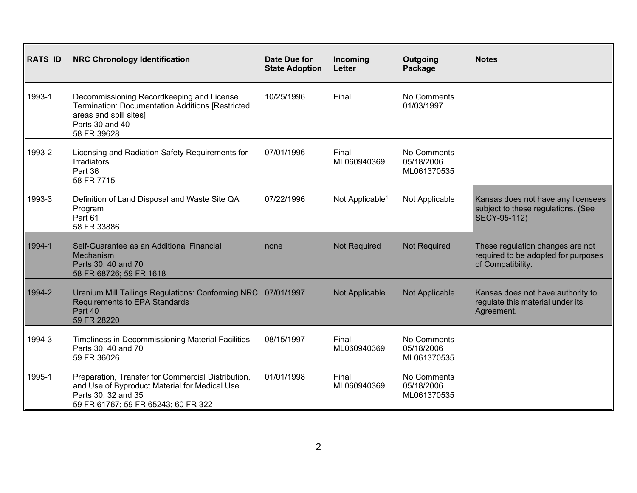| <b>RATS ID</b> | <b>NRC Chronology Identification</b>                                                                                                                              | Date Due for<br><b>State Adoption</b> | Incoming<br><b>Letter</b>   | Outgoing<br>Package                      | <b>Notes</b>                                                                                 |
|----------------|-------------------------------------------------------------------------------------------------------------------------------------------------------------------|---------------------------------------|-----------------------------|------------------------------------------|----------------------------------------------------------------------------------------------|
| 1993-1         | Decommissioning Recordkeeping and License<br>Termination: Documentation Additions [Restricted<br>areas and spill sites]<br>Parts 30 and 40<br>58 FR 39628         | 10/25/1996                            | Final                       | No Comments<br>01/03/1997                |                                                                                              |
| 1993-2         | Licensing and Radiation Safety Requirements for<br><b>Irradiators</b><br>Part 36<br>58 FR 7715                                                                    | 07/01/1996                            | Final<br>ML060940369        | No Comments<br>05/18/2006<br>ML061370535 |                                                                                              |
| 1993-3         | Definition of Land Disposal and Waste Site QA<br>Program<br>Part 61<br>58 FR 33886                                                                                | 07/22/1996                            | Not Applicable <sup>1</sup> | Not Applicable                           | Kansas does not have any licensees<br>subject to these regulations. (See<br>SECY-95-112)     |
| 1994-1         | Self-Guarantee as an Additional Financial<br>Mechanism<br>Parts 30, 40 and 70<br>58 FR 68726; 59 FR 1618                                                          | none                                  | <b>Not Required</b>         | <b>Not Required</b>                      | These regulation changes are not<br>required to be adopted for purposes<br>of Compatibility. |
| 1994-2         | Uranium Mill Tailings Regulations: Conforming NRC<br><b>Requirements to EPA Standards</b><br>Part 40<br>59 FR 28220                                               | 07/01/1997                            | Not Applicable              | Not Applicable                           | Kansas does not have authority to<br>regulate this material under its<br>Agreement.          |
| 1994-3         | Timeliness in Decommissioning Material Facilities<br>Parts 30, 40 and 70<br>59 FR 36026                                                                           | 08/15/1997                            | Final<br>ML060940369        | No Comments<br>05/18/2006<br>ML061370535 |                                                                                              |
| 1995-1         | Preparation, Transfer for Commercial Distribution,<br>and Use of Byproduct Material for Medical Use<br>Parts 30, 32 and 35<br>59 FR 61767; 59 FR 65243; 60 FR 322 | 01/01/1998                            | Final<br>ML060940369        | No Comments<br>05/18/2006<br>ML061370535 |                                                                                              |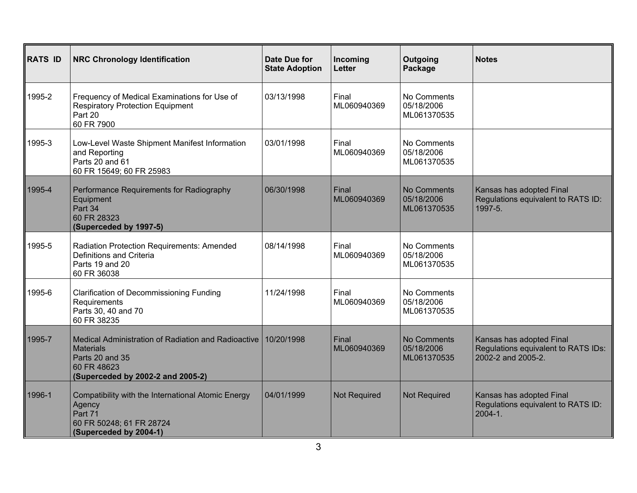| <b>RATS ID</b> | <b>NRC Chronology Identification</b>                                                                                                           | Date Due for<br><b>State Adoption</b> | Incoming<br><b>Letter</b> | Outgoing<br>Package                      | <b>Notes</b>                                                                          |
|----------------|------------------------------------------------------------------------------------------------------------------------------------------------|---------------------------------------|---------------------------|------------------------------------------|---------------------------------------------------------------------------------------|
| 1995-2         | Frequency of Medical Examinations for Use of<br><b>Respiratory Protection Equipment</b><br>Part 20<br>60 FR 7900                               | 03/13/1998                            | Final<br>ML060940369      | No Comments<br>05/18/2006<br>ML061370535 |                                                                                       |
| 1995-3         | Low-Level Waste Shipment Manifest Information<br>and Reporting<br>Parts 20 and 61<br>60 FR 15649; 60 FR 25983                                  | 03/01/1998                            | Final<br>ML060940369      | No Comments<br>05/18/2006<br>ML061370535 |                                                                                       |
| 1995-4         | Performance Requirements for Radiography<br>Equipment<br>Part 34<br>60 FR 28323<br>(Superceded by 1997-5)                                      | 06/30/1998                            | Final<br>ML060940369      | No Comments<br>05/18/2006<br>ML061370535 | Kansas has adopted Final<br>Regulations equivalent to RATS ID:<br>1997-5.             |
| 1995-5         | Radiation Protection Requirements: Amended<br>Definitions and Criteria<br>Parts 19 and 20<br>60 FR 36038                                       | 08/14/1998                            | Final<br>ML060940369      | No Comments<br>05/18/2006<br>ML061370535 |                                                                                       |
| 1995-6         | <b>Clarification of Decommissioning Funding</b><br>Requirements<br>Parts 30, 40 and 70<br>60 FR 38235                                          | 11/24/1998                            | Final<br>ML060940369      | No Comments<br>05/18/2006<br>ML061370535 |                                                                                       |
| 1995-7         | Medical Administration of Radiation and Radioactive<br><b>Materials</b><br>Parts 20 and 35<br>60 FR 48623<br>(Superceded by 2002-2 and 2005-2) | 10/20/1998                            | Final<br>ML060940369      | No Comments<br>05/18/2006<br>ML061370535 | Kansas has adopted Final<br>Regulations equivalent to RATS IDs:<br>2002-2 and 2005-2. |
| 1996-1         | Compatibility with the International Atomic Energy<br>Agency<br>Part 71<br>60 FR 50248; 61 FR 28724<br>(Superceded by 2004-1)                  | 04/01/1999                            | <b>Not Required</b>       | <b>Not Required</b>                      | Kansas has adopted Final<br>Regulations equivalent to RATS ID:<br>$2004 - 1$ .        |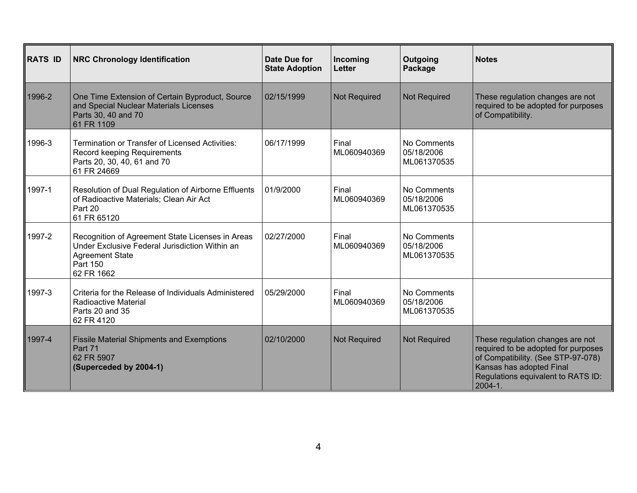| <b>RATS ID</b> | <b>NRC Chronology Identification</b>                                                                                                                   | Date Due for<br><b>State Adoption</b> | Incoming<br><b>Letter</b> | Outgoing<br>Package                      | <b>Notes</b>                                                                                                                                                                                   |
|----------------|--------------------------------------------------------------------------------------------------------------------------------------------------------|---------------------------------------|---------------------------|------------------------------------------|------------------------------------------------------------------------------------------------------------------------------------------------------------------------------------------------|
| 1996-2         | One Time Extension of Certain Byproduct, Source<br>and Special Nuclear Materials Licenses<br>Parts 30, 40 and 70<br>61 FR 1109                         | 02/15/1999                            | <b>Not Required</b>       | <b>Not Required</b>                      | These regulation changes are not<br>required to be adopted for purposes<br>of Compatibility.                                                                                                   |
| 1996-3         | <b>Termination or Transfer of Licensed Activities:</b><br>Record keeping Requirements<br>Parts 20, 30, 40, 61 and 70<br>61 FR 24669                    | 06/17/1999                            | Final<br>ML060940369      | No Comments<br>05/18/2006<br>ML061370535 |                                                                                                                                                                                                |
| 1997-1         | Resolution of Dual Regulation of Airborne Effluents<br>of Radioactive Materials; Clean Air Act<br>Part 20<br>61 FR 65120                               | 01/9/2000                             | Final<br>ML060940369      | No Comments<br>05/18/2006<br>ML061370535 |                                                                                                                                                                                                |
| 1997-2         | Recognition of Agreement State Licenses in Areas<br>Under Exclusive Federal Jurisdiction Within an<br><b>Agreement State</b><br>Part 150<br>62 FR 1662 | 02/27/2000                            | Final<br>ML060940369      | No Comments<br>05/18/2006<br>ML061370535 |                                                                                                                                                                                                |
| 1997-3         | Criteria for the Release of Individuals Administered<br><b>Radioactive Material</b><br>Parts 20 and 35<br>62 FR 4120                                   | 05/29/2000                            | Final<br>ML060940369      | No Comments<br>05/18/2006<br>ML061370535 |                                                                                                                                                                                                |
| 1997-4         | <b>Fissile Material Shipments and Exemptions</b><br>Part 71<br>62 FR 5907<br>(Superceded by 2004-1)                                                    | 02/10/2000                            | <b>Not Required</b>       | <b>Not Required</b>                      | These regulation changes are not<br>required to be adopted for purposes<br>of Compatibility. (See STP-97-078)<br>Kansas has adopted Final<br>Regulations equivalent to RATS ID:<br>$2004 - 1.$ |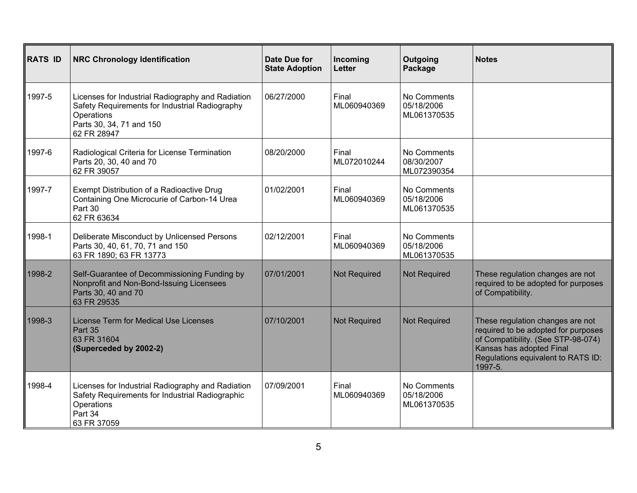| <b>RATS ID</b> | <b>NRC Chronology Identification</b>                                                                                                                         | Date Due for<br><b>State Adoption</b> | Incoming<br>Letter   | Outgoing<br>Package                      | <b>Notes</b>                                                                                                                                                                               |
|----------------|--------------------------------------------------------------------------------------------------------------------------------------------------------------|---------------------------------------|----------------------|------------------------------------------|--------------------------------------------------------------------------------------------------------------------------------------------------------------------------------------------|
| 1997-5         | Licenses for Industrial Radiography and Radiation<br>Safety Requirements for Industrial Radiography<br>Operations<br>Parts 30, 34, 71 and 150<br>62 FR 28947 | 06/27/2000                            | Final<br>ML060940369 | No Comments<br>05/18/2006<br>ML061370535 |                                                                                                                                                                                            |
| 1997-6         | Radiological Criteria for License Termination<br>Parts 20, 30, 40 and 70<br>62 FR 39057                                                                      | 08/20/2000                            | Final<br>ML072010244 | No Comments<br>08/30/2007<br>ML072390354 |                                                                                                                                                                                            |
| 1997-7         | Exempt Distribution of a Radioactive Drug<br>Containing One Microcurie of Carbon-14 Urea<br>Part 30<br>62 FR 63634                                           | 01/02/2001                            | Final<br>ML060940369 | No Comments<br>05/18/2006<br>ML061370535 |                                                                                                                                                                                            |
| 1998-1         | Deliberate Misconduct by Unlicensed Persons<br>Parts 30, 40, 61, 70, 71 and 150<br>63 FR 1890; 63 FR 13773                                                   | 02/12/2001                            | Final<br>ML060940369 | No Comments<br>05/18/2006<br>ML061370535 |                                                                                                                                                                                            |
| 1998-2         | Self-Guarantee of Decommissioning Funding by<br>Nonprofit and Non-Bond-Issuing Licensees<br>Parts 30, 40 and 70<br>63 FR 29535                               | 07/01/2001                            | <b>Not Required</b>  | Not Required                             | These regulation changes are not<br>required to be adopted for purposes<br>of Compatibility.                                                                                               |
| 1998-3         | License Term for Medical Use Licenses<br>Part 35<br>63 FR 31604<br>(Superceded by 2002-2)                                                                    | 07/10/2001                            | <b>Not Required</b>  | <b>Not Required</b>                      | These regulation changes are not<br>required to be adopted for purposes<br>of Compatibility. (See STP-98-074)<br>Kansas has adopted Final<br>Regulations equivalent to RATS ID:<br>1997-5. |
| 1998-4         | Licenses for Industrial Radiography and Radiation<br>Safety Requirements for Industrial Radiographic<br>Operations<br>Part 34<br>63 FR 37059                 | 07/09/2001                            | Final<br>ML060940369 | No Comments<br>05/18/2006<br>ML061370535 |                                                                                                                                                                                            |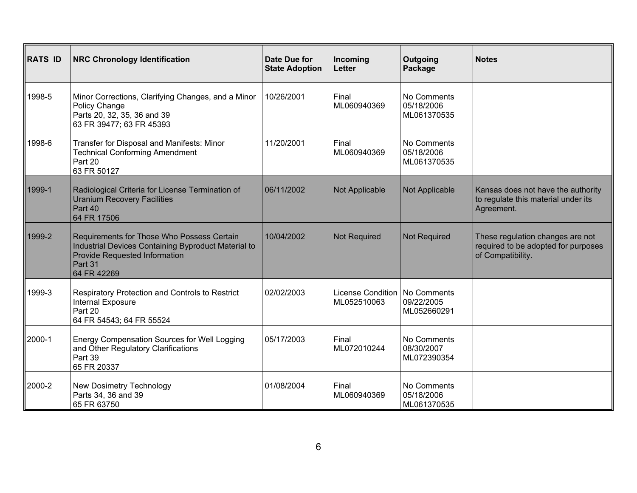| <b>RATS ID</b> | <b>NRC Chronology Identification</b>                                                                                                                         | Date Due for<br><b>State Adoption</b> | Incoming<br>Letter                             | Outgoing<br>Package                      | <b>Notes</b>                                                                                 |
|----------------|--------------------------------------------------------------------------------------------------------------------------------------------------------------|---------------------------------------|------------------------------------------------|------------------------------------------|----------------------------------------------------------------------------------------------|
| 1998-5         | Minor Corrections, Clarifying Changes, and a Minor<br>Policy Change<br>Parts 20, 32, 35, 36 and 39<br>63 FR 39477; 63 FR 45393                               | 10/26/2001                            | Final<br>ML060940369                           | No Comments<br>05/18/2006<br>ML061370535 |                                                                                              |
| 1998-6         | Transfer for Disposal and Manifests: Minor<br><b>Technical Conforming Amendment</b><br>Part 20<br>63 FR 50127                                                | 11/20/2001                            | Final<br>ML060940369                           | No Comments<br>05/18/2006<br>ML061370535 |                                                                                              |
| 1999-1         | Radiological Criteria for License Termination of<br><b>Uranium Recovery Facilities</b><br>Part 40<br>64 FR 17506                                             | 06/11/2002                            | Not Applicable                                 | Not Applicable                           | Kansas does not have the authority<br>to regulate this material under its<br>Agreement.      |
| 1999-2         | Requirements for Those Who Possess Certain<br>Industrial Devices Containing Byproduct Material to<br>Provide Requested Information<br>Part 31<br>64 FR 42269 | 10/04/2002                            | Not Required                                   | <b>Not Required</b>                      | These regulation changes are not<br>required to be adopted for purposes<br>of Compatibility. |
| 1999-3         | Respiratory Protection and Controls to Restrict<br>Internal Exposure<br>Part 20<br>64 FR 54543; 64 FR 55524                                                  | 02/02/2003                            | License Condition   No Comments<br>ML052510063 | 09/22/2005<br>ML052660291                |                                                                                              |
| 2000-1         | Energy Compensation Sources for Well Logging<br>and Other Regulatory Clarifications<br>Part 39<br>65 FR 20337                                                | 05/17/2003                            | Final<br>ML072010244                           | No Comments<br>08/30/2007<br>ML072390354 |                                                                                              |
| 2000-2         | New Dosimetry Technology<br>Parts 34, 36 and 39<br>65 FR 63750                                                                                               | 01/08/2004                            | Final<br>ML060940369                           | No Comments<br>05/18/2006<br>ML061370535 |                                                                                              |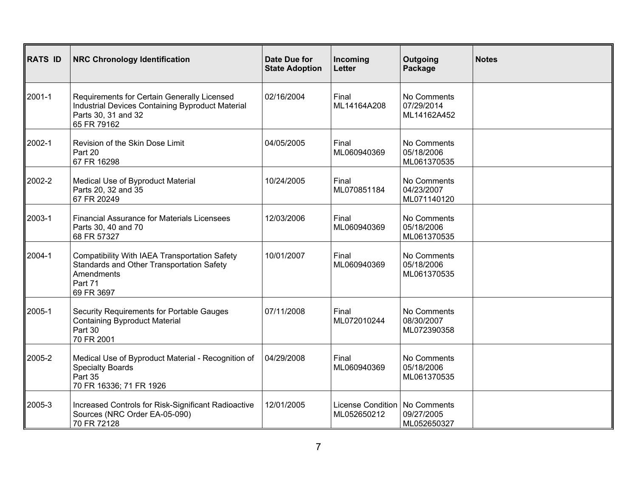| <b>RATS ID</b> | <b>NRC Chronology Identification</b>                                                                                                            | <b>Date Due for</b><br><b>State Adoption</b> | Incoming<br>Letter               | Outgoing<br>Package                      | <b>Notes</b> |
|----------------|-------------------------------------------------------------------------------------------------------------------------------------------------|----------------------------------------------|----------------------------------|------------------------------------------|--------------|
| 2001-1         | Requirements for Certain Generally Licensed<br>Industrial Devices Containing Byproduct Material<br>Parts 30, 31 and 32<br>65 FR 79162           | 02/16/2004                                   | Final<br>ML14164A208             | No Comments<br>07/29/2014<br>ML14162A452 |              |
| 2002-1         | Revision of the Skin Dose Limit<br>Part 20<br>67 FR 16298                                                                                       | 04/05/2005                                   | Final<br>ML060940369             | No Comments<br>05/18/2006<br>ML061370535 |              |
| 2002-2         | Medical Use of Byproduct Material<br>Parts 20, 32 and 35<br>67 FR 20249                                                                         | 10/24/2005                                   | Final<br>ML070851184             | No Comments<br>04/23/2007<br>ML071140120 |              |
| 2003-1         | <b>Financial Assurance for Materials Licensees</b><br>Parts 30, 40 and 70<br>68 FR 57327                                                        | 12/03/2006                                   | Final<br>ML060940369             | No Comments<br>05/18/2006<br>ML061370535 |              |
| 2004-1         | <b>Compatibility With IAEA Transportation Safety</b><br><b>Standards and Other Transportation Safety</b><br>Amendments<br>Part 71<br>69 FR 3697 | 10/01/2007                                   | Final<br>ML060940369             | No Comments<br>05/18/2006<br>ML061370535 |              |
| 2005-1         | Security Requirements for Portable Gauges<br><b>Containing Byproduct Material</b><br>Part 30<br>70 FR 2001                                      | 07/11/2008                                   | Final<br>ML072010244             | No Comments<br>08/30/2007<br>ML072390358 |              |
| 2005-2         | Medical Use of Byproduct Material - Recognition of<br><b>Specialty Boards</b><br>Part 35<br>70 FR 16336; 71 FR 1926                             | 04/29/2008                                   | Final<br>ML060940369             | No Comments<br>05/18/2006<br>ML061370535 |              |
| 2005-3         | Increased Controls for Risk-Significant Radioactive<br>Sources (NRC Order EA-05-090)<br>70 FR 72128                                             | 12/01/2005                                   | License Condition<br>ML052650212 | No Comments<br>09/27/2005<br>ML052650327 |              |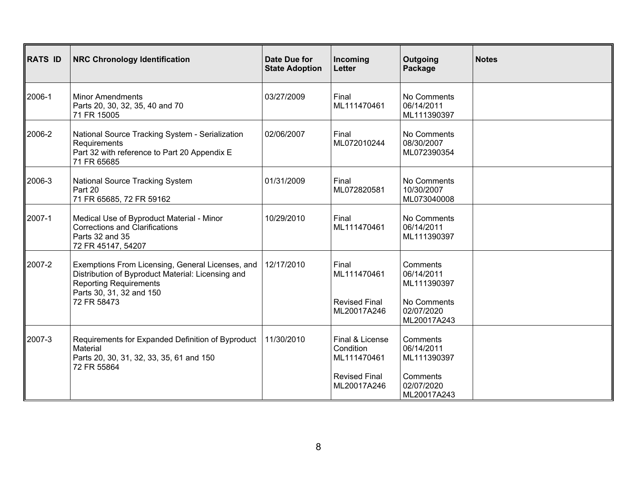| <b>RATS ID</b> | <b>NRC Chronology Identification</b>                                                                                                                               | Date Due for<br><b>State Adoption</b> | Incoming<br>Letter                          | Outgoing<br>Package                      | <b>Notes</b> |
|----------------|--------------------------------------------------------------------------------------------------------------------------------------------------------------------|---------------------------------------|---------------------------------------------|------------------------------------------|--------------|
| 2006-1         | <b>Minor Amendments</b><br>Parts 20, 30, 32, 35, 40 and 70<br>71 FR 15005                                                                                          | 03/27/2009                            | Final<br>ML111470461                        | No Comments<br>06/14/2011<br>ML111390397 |              |
| 2006-2         | National Source Tracking System - Serialization<br>Requirements<br>Part 32 with reference to Part 20 Appendix E<br>71 FR 65685                                     | 02/06/2007                            | Final<br>ML072010244                        | No Comments<br>08/30/2007<br>ML072390354 |              |
| 2006-3         | <b>National Source Tracking System</b><br>Part 20<br>71 FR 65685, 72 FR 59162                                                                                      | 01/31/2009                            | Final<br>ML072820581                        | No Comments<br>10/30/2007<br>ML073040008 |              |
| 2007-1         | Medical Use of Byproduct Material - Minor<br><b>Corrections and Clarifications</b><br>Parts 32 and 35<br>72 FR 45147, 54207                                        | 10/29/2010                            | Final<br>ML111470461                        | No Comments<br>06/14/2011<br>ML111390397 |              |
| 2007-2         | Exemptions From Licensing, General Licenses, and<br>Distribution of Byproduct Material: Licensing and<br><b>Reporting Requirements</b><br>Parts 30, 31, 32 and 150 | 12/17/2010                            | Final<br>ML111470461                        | Comments<br>06/14/2011<br>ML111390397    |              |
|                | 72 FR 58473                                                                                                                                                        |                                       | <b>Revised Final</b><br>ML20017A246         | No Comments<br>02/07/2020<br>ML20017A243 |              |
| 2007-3         | Requirements for Expanded Definition of Byproduct<br>Material<br>Parts 20, 30, 31, 32, 33, 35, 61 and 150<br>72 FR 55864                                           | 11/30/2010                            | Final & License<br>Condition<br>ML111470461 | Comments<br>06/14/2011<br>ML111390397    |              |
|                |                                                                                                                                                                    |                                       | <b>Revised Final</b><br>ML20017A246         | Comments<br>02/07/2020<br>ML20017A243    |              |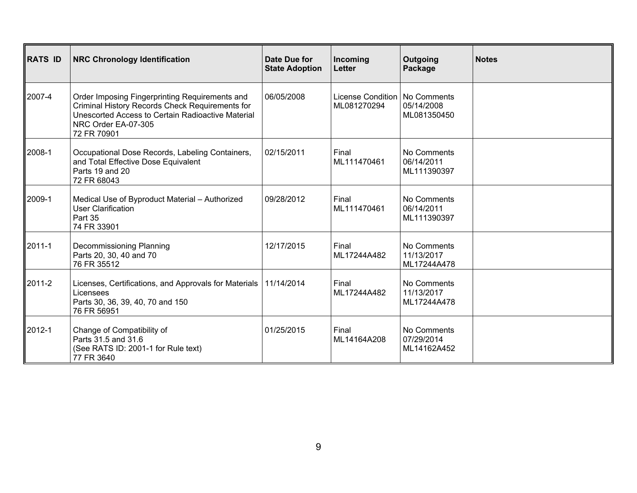| <b>RATS ID</b> | <b>NRC Chronology Identification</b>                                                                                                                                                         | Date Due for<br><b>State Adoption</b> | Incoming<br>Letter                             | Outgoing<br>Package                      | <b>Notes</b> |
|----------------|----------------------------------------------------------------------------------------------------------------------------------------------------------------------------------------------|---------------------------------------|------------------------------------------------|------------------------------------------|--------------|
| 2007-4         | Order Imposing Fingerprinting Requirements and<br>Criminal History Records Check Requirements for<br>Unescorted Access to Certain Radioactive Material<br>NRC Order EA-07-305<br>72 FR 70901 | 06/05/2008                            | License Condition   No Comments<br>ML081270294 | 05/14/2008<br>ML081350450                |              |
| 2008-1         | Occupational Dose Records, Labeling Containers,<br>and Total Effective Dose Equivalent<br>Parts 19 and 20<br>72 FR 68043                                                                     | 02/15/2011                            | Final<br>ML111470461                           | No Comments<br>06/14/2011<br>ML111390397 |              |
| 2009-1         | Medical Use of Byproduct Material - Authorized<br><b>User Clarification</b><br>Part 35<br>74 FR 33901                                                                                        | 09/28/2012                            | Final<br>ML111470461                           | No Comments<br>06/14/2011<br>ML111390397 |              |
| 2011-1         | <b>Decommissioning Planning</b><br>Parts 20, 30, 40 and 70<br>76 FR 35512                                                                                                                    | 12/17/2015                            | Final<br>ML17244A482                           | No Comments<br>11/13/2017<br>ML17244A478 |              |
| 2011-2         | Licenses, Certifications, and Approvals for Materials<br>Licensees<br>Parts 30, 36, 39, 40, 70 and 150<br>76 FR 56951                                                                        | 11/14/2014                            | Final<br>ML17244A482                           | No Comments<br>11/13/2017<br>ML17244A478 |              |
| 2012-1         | Change of Compatibility of<br>Parts 31.5 and 31.6<br>(See RATS ID: 2001-1 for Rule text)<br>77 FR 3640                                                                                       | 01/25/2015                            | Final<br>ML14164A208                           | No Comments<br>07/29/2014<br>ML14162A452 |              |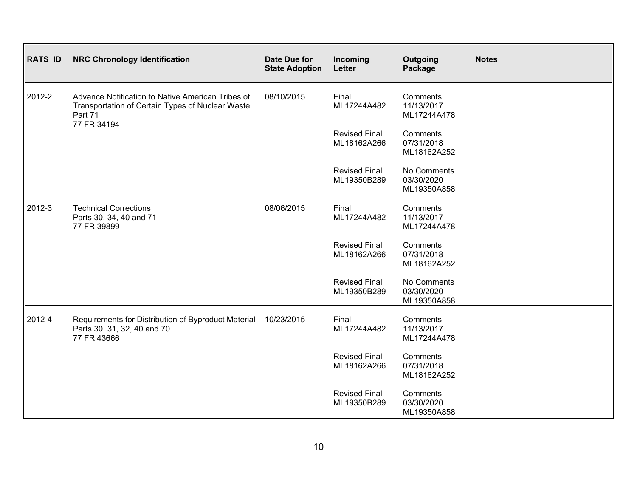| RATS ID | <b>NRC Chronology Identification</b>                                                                             | Date Due for<br><b>State Adoption</b> | Incoming<br>Letter                  | Outgoing<br>Package                      | <b>Notes</b> |
|---------|------------------------------------------------------------------------------------------------------------------|---------------------------------------|-------------------------------------|------------------------------------------|--------------|
| 2012-2  | Advance Notification to Native American Tribes of<br>Transportation of Certain Types of Nuclear Waste<br>Part 71 | 08/10/2015                            | Final<br>ML17244A482                | Comments<br>11/13/2017<br>ML17244A478    |              |
|         | 77 FR 34194                                                                                                      |                                       | <b>Revised Final</b><br>ML18162A266 | Comments<br>07/31/2018<br>ML18162A252    |              |
|         |                                                                                                                  |                                       | <b>Revised Final</b><br>ML19350B289 | No Comments<br>03/30/2020<br>ML19350A858 |              |
| 2012-3  | <b>Technical Corrections</b><br>Parts 30, 34, 40 and 71<br>77 FR 39899                                           | 08/06/2015                            | Final<br>ML17244A482                | Comments<br>11/13/2017<br>ML17244A478    |              |
|         |                                                                                                                  |                                       | <b>Revised Final</b><br>ML18162A266 | Comments<br>07/31/2018<br>ML18162A252    |              |
|         |                                                                                                                  |                                       | <b>Revised Final</b><br>ML19350B289 | No Comments<br>03/30/2020<br>ML19350A858 |              |
| 2012-4  | Requirements for Distribution of Byproduct Material<br>Parts 30, 31, 32, 40 and 70<br>77 FR 43666                | 10/23/2015                            | Final<br>ML17244A482                | Comments<br>11/13/2017<br>ML17244A478    |              |
|         |                                                                                                                  |                                       | <b>Revised Final</b><br>ML18162A266 | Comments<br>07/31/2018<br>ML18162A252    |              |
|         |                                                                                                                  |                                       | <b>Revised Final</b><br>ML19350B289 | Comments<br>03/30/2020<br>ML19350A858    |              |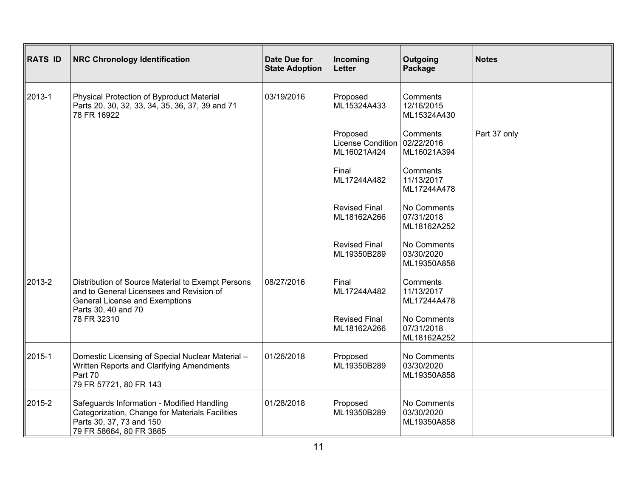| <b>RATS ID</b> | <b>NRC Chronology Identification</b>                                                                                                                                         | <b>Date Due for</b><br><b>State Adoption</b> | Incoming<br>Letter                           | Outgoing<br>Package                      | <b>Notes</b> |
|----------------|------------------------------------------------------------------------------------------------------------------------------------------------------------------------------|----------------------------------------------|----------------------------------------------|------------------------------------------|--------------|
| 2013-1         | Physical Protection of Byproduct Material<br>Parts 20, 30, 32, 33, 34, 35, 36, 37, 39 and 71<br>78 FR 16922                                                                  | 03/19/2016                                   | Proposed<br>ML15324A433                      | Comments<br>12/16/2015<br>ML15324A430    |              |
|                |                                                                                                                                                                              |                                              | Proposed<br>License Condition<br>ML16021A424 | Comments<br>02/22/2016<br>ML16021A394    | Part 37 only |
|                |                                                                                                                                                                              |                                              | Final<br>ML17244A482                         | Comments<br>11/13/2017<br>ML17244A478    |              |
|                |                                                                                                                                                                              |                                              | <b>Revised Final</b><br>ML18162A266          | No Comments<br>07/31/2018<br>ML18162A252 |              |
|                |                                                                                                                                                                              |                                              | <b>Revised Final</b><br>ML19350B289          | No Comments<br>03/30/2020<br>ML19350A858 |              |
| 2013-2         | Distribution of Source Material to Exempt Persons<br>and to General Licensees and Revision of<br><b>General License and Exemptions</b><br>Parts 30, 40 and 70<br>78 FR 32310 | 08/27/2016                                   | Final<br>ML17244A482                         | Comments<br>11/13/2017<br>ML17244A478    |              |
|                |                                                                                                                                                                              |                                              | <b>Revised Final</b><br>ML18162A266          | No Comments<br>07/31/2018<br>ML18162A252 |              |
| 2015-1         | Domestic Licensing of Special Nuclear Material -<br>Written Reports and Clarifying Amendments<br>Part 70<br>79 FR 57721, 80 FR 143                                           | 01/26/2018                                   | Proposed<br>ML19350B289                      | No Comments<br>03/30/2020<br>ML19350A858 |              |
| 2015-2         | Safeguards Information - Modified Handling<br>Categorization, Change for Materials Facilities<br>Parts 30, 37, 73 and 150<br>79 FR 58664, 80 FR 3865                         | 01/28/2018                                   | Proposed<br>ML19350B289                      | No Comments<br>03/30/2020<br>ML19350A858 |              |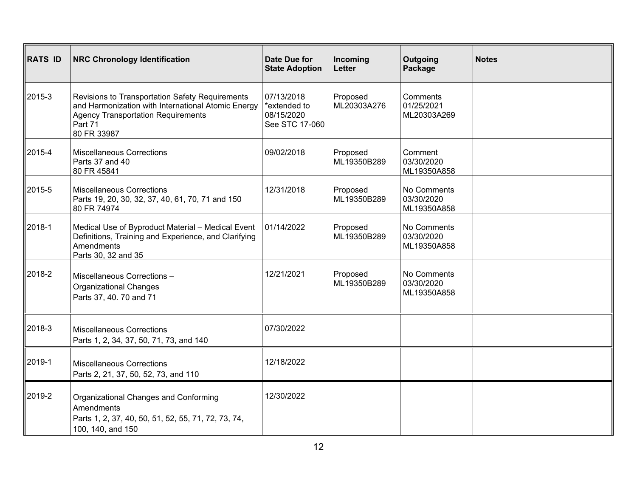| <b>RATS ID</b> | <b>NRC Chronology Identification</b>                                                                                                                                         | <b>Date Due for</b><br><b>State Adoption</b>               | Incoming<br><b>Letter</b> | Outgoing<br>Package                      | <b>Notes</b> |
|----------------|------------------------------------------------------------------------------------------------------------------------------------------------------------------------------|------------------------------------------------------------|---------------------------|------------------------------------------|--------------|
| 2015-3         | Revisions to Transportation Safety Requirements<br>and Harmonization with International Atomic Energy<br><b>Agency Transportation Requirements</b><br>Part 71<br>80 FR 33987 | 07/13/2018<br>*extended to<br>08/15/2020<br>See STC 17-060 | Proposed<br>ML20303A276   | Comments<br>01/25/2021<br>ML20303A269    |              |
| 2015-4         | <b>Miscellaneous Corrections</b><br>Parts 37 and 40<br>80 FR 45841                                                                                                           | 09/02/2018                                                 | Proposed<br>ML19350B289   | Comment<br>03/30/2020<br>ML19350A858     |              |
| 2015-5         | <b>Miscellaneous Corrections</b><br>Parts 19, 20, 30, 32, 37, 40, 61, 70, 71 and 150<br>80 FR 74974                                                                          | 12/31/2018                                                 | Proposed<br>ML19350B289   | No Comments<br>03/30/2020<br>ML19350A858 |              |
| 2018-1         | Medical Use of Byproduct Material - Medical Event<br>Definitions, Training and Experience, and Clarifying<br>Amendments<br>Parts 30, 32 and 35                               | 01/14/2022                                                 | Proposed<br>ML19350B289   | No Comments<br>03/30/2020<br>ML19350A858 |              |
| 2018-2         | Miscellaneous Corrections -<br><b>Organizational Changes</b><br>Parts 37, 40. 70 and 71                                                                                      | 12/21/2021                                                 | Proposed<br>ML19350B289   | No Comments<br>03/30/2020<br>ML19350A858 |              |
| 2018-3         | <b>Miscellaneous Corrections</b><br>Parts 1, 2, 34, 37, 50, 71, 73, and 140                                                                                                  | 07/30/2022                                                 |                           |                                          |              |
| 2019-1         | <b>Miscellaneous Corrections</b><br>Parts 2, 21, 37, 50, 52, 73, and 110                                                                                                     | 12/18/2022                                                 |                           |                                          |              |
| 2019-2         | Organizational Changes and Conforming<br>Amendments<br>Parts 1, 2, 37, 40, 50, 51, 52, 55, 71, 72, 73, 74,<br>100, 140, and 150                                              | 12/30/2022                                                 |                           |                                          |              |